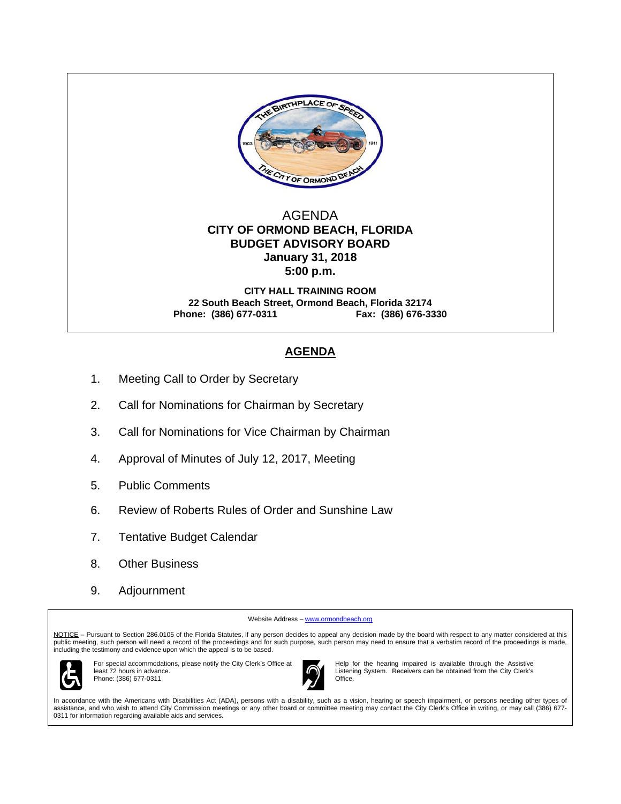

## AGENDA  **CITY OF ORMOND BEACH, FLORIDA BUDGET ADVISORY BOARD January 31, 2018 5:00 p.m.**

**CITY HALL TRAINING ROOM 22 South Beach Street, Ormond Beach, Florida 32174 Phone: (386) 677-0311 Fax: (386) 676-3330** 

# **AGENDA**

- 1. Meeting Call to Order by Secretary
- 2. Call for Nominations for Chairman by Secretary
- 3. Call for Nominations for Vice Chairman by Chairman
- 4. Approval of Minutes of July 12, 2017, Meeting
- 5. Public Comments
- 6. Review of Roberts Rules of Order and Sunshine Law
- 7. Tentative Budget Calendar
- 8. Other Business
- 9. Adjournment

Website Address - www.ormondbeach.org

NOTICE - Pursuant to Section 286.0105 of the Florida Statutes, if any person decides to appeal any decision made by the board with respect to any matter considered at this public meeting, such person will need a record of the proceedings and for such purpose, such person may need to ensure that a verbatim record of the proceedings is made,<br>including the testimony and evidence upon which the



For special accommodations, please notify the City Clerk's Office at least 72 hours in advance. Phone: (386) 677-0311



Help for the hearing impaired is available through the Assistive Listening System. Receivers can be obtained from the City Clerk's Office.

In accordance with the Americans with Disabilities Act (ADA), persons with a disability, such as a vision, hearing or speech impairment, or persons needing other types of assistance, and who wish to attend City Commission meetings or any other board or committee meeting may contact the City Clerk's Office in writing, or may call (386) 677- 0311 for information regarding available aids and services.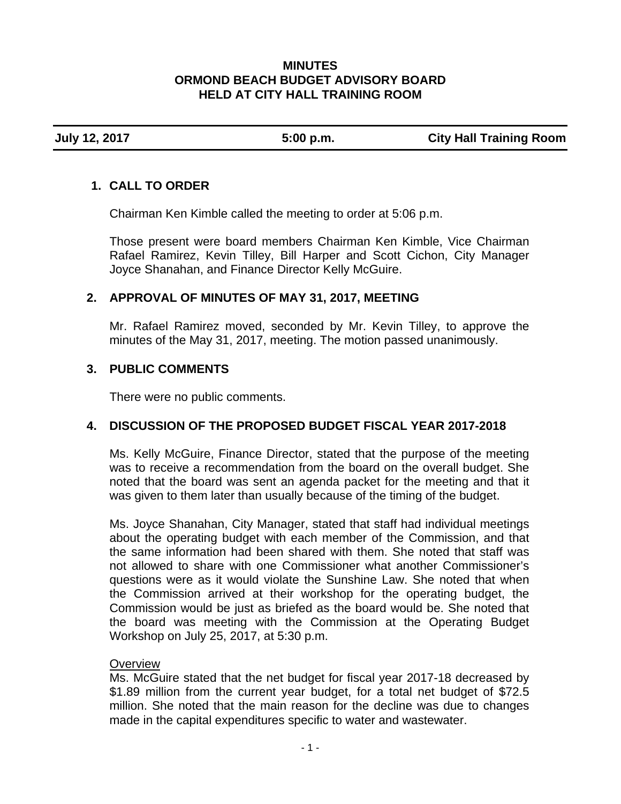## **MINUTES ORMOND BEACH BUDGET ADVISORY BOARD HELD AT CITY HALL TRAINING ROOM**

**July 12, 2017 5:00 p.m. City Hall Training Room** 

# **1. CALL TO ORDER**

Chairman Ken Kimble called the meeting to order at 5:06 p.m.

Those present were board members Chairman Ken Kimble, Vice Chairman Rafael Ramirez, Kevin Tilley, Bill Harper and Scott Cichon, City Manager Joyce Shanahan, and Finance Director Kelly McGuire.

# **2. APPROVAL OF MINUTES OF MAY 31, 2017, MEETING**

Mr. Rafael Ramirez moved, seconded by Mr. Kevin Tilley, to approve the minutes of the May 31, 2017, meeting. The motion passed unanimously.

# **3. PUBLIC COMMENTS**

There were no public comments.

# **4. DISCUSSION OF THE PROPOSED BUDGET FISCAL YEAR 2017-2018**

Ms. Kelly McGuire, Finance Director, stated that the purpose of the meeting was to receive a recommendation from the board on the overall budget. She noted that the board was sent an agenda packet for the meeting and that it was given to them later than usually because of the timing of the budget.

Ms. Joyce Shanahan, City Manager, stated that staff had individual meetings about the operating budget with each member of the Commission, and that the same information had been shared with them. She noted that staff was not allowed to share with one Commissioner what another Commissioner's questions were as it would violate the Sunshine Law. She noted that when the Commission arrived at their workshop for the operating budget, the Commission would be just as briefed as the board would be. She noted that the board was meeting with the Commission at the Operating Budget Workshop on July 25, 2017, at 5:30 p.m.

## **Overview**

Ms. McGuire stated that the net budget for fiscal year 2017-18 decreased by \$1.89 million from the current year budget, for a total net budget of \$72.5 million. She noted that the main reason for the decline was due to changes made in the capital expenditures specific to water and wastewater.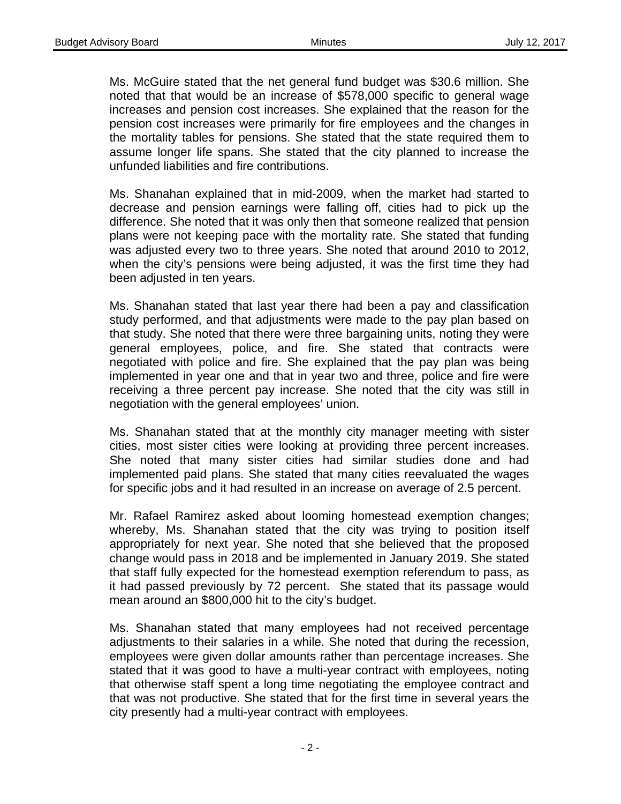Ms. McGuire stated that the net general fund budget was \$30.6 million. She noted that that would be an increase of \$578,000 specific to general wage increases and pension cost increases. She explained that the reason for the pension cost increases were primarily for fire employees and the changes in the mortality tables for pensions. She stated that the state required them to assume longer life spans. She stated that the city planned to increase the unfunded liabilities and fire contributions.

Ms. Shanahan explained that in mid-2009, when the market had started to decrease and pension earnings were falling off, cities had to pick up the difference. She noted that it was only then that someone realized that pension plans were not keeping pace with the mortality rate. She stated that funding was adjusted every two to three years. She noted that around 2010 to 2012, when the city's pensions were being adjusted, it was the first time they had been adjusted in ten years.

Ms. Shanahan stated that last year there had been a pay and classification study performed, and that adjustments were made to the pay plan based on that study. She noted that there were three bargaining units, noting they were general employees, police, and fire. She stated that contracts were negotiated with police and fire. She explained that the pay plan was being implemented in year one and that in year two and three, police and fire were receiving a three percent pay increase. She noted that the city was still in negotiation with the general employees' union.

Ms. Shanahan stated that at the monthly city manager meeting with sister cities, most sister cities were looking at providing three percent increases. She noted that many sister cities had similar studies done and had implemented paid plans. She stated that many cities reevaluated the wages for specific jobs and it had resulted in an increase on average of 2.5 percent.

Mr. Rafael Ramirez asked about looming homestead exemption changes; whereby, Ms. Shanahan stated that the city was trying to position itself appropriately for next year. She noted that she believed that the proposed change would pass in 2018 and be implemented in January 2019. She stated that staff fully expected for the homestead exemption referendum to pass, as it had passed previously by 72 percent. She stated that its passage would mean around an \$800,000 hit to the city's budget.

Ms. Shanahan stated that many employees had not received percentage adjustments to their salaries in a while. She noted that during the recession, employees were given dollar amounts rather than percentage increases. She stated that it was good to have a multi-year contract with employees, noting that otherwise staff spent a long time negotiating the employee contract and that was not productive. She stated that for the first time in several years the city presently had a multi-year contract with employees.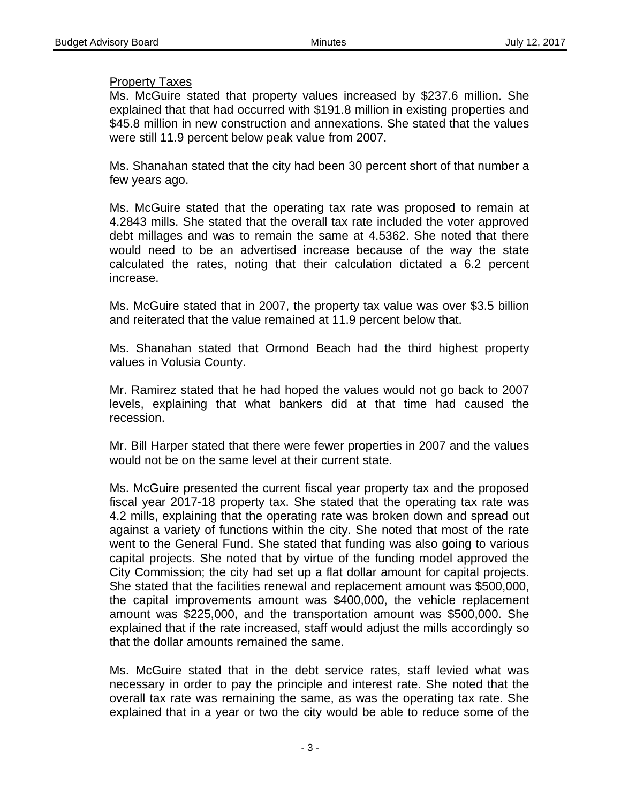#### Property Taxes

Ms. McGuire stated that property values increased by \$237.6 million. She explained that that had occurred with \$191.8 million in existing properties and \$45.8 million in new construction and annexations. She stated that the values were still 11.9 percent below peak value from 2007.

Ms. Shanahan stated that the city had been 30 percent short of that number a few years ago.

Ms. McGuire stated that the operating tax rate was proposed to remain at 4.2843 mills. She stated that the overall tax rate included the voter approved debt millages and was to remain the same at 4.5362. She noted that there would need to be an advertised increase because of the way the state calculated the rates, noting that their calculation dictated a 6.2 percent increase.

Ms. McGuire stated that in 2007, the property tax value was over \$3.5 billion and reiterated that the value remained at 11.9 percent below that.

Ms. Shanahan stated that Ormond Beach had the third highest property values in Volusia County.

Mr. Ramirez stated that he had hoped the values would not go back to 2007 levels, explaining that what bankers did at that time had caused the recession.

Mr. Bill Harper stated that there were fewer properties in 2007 and the values would not be on the same level at their current state.

Ms. McGuire presented the current fiscal year property tax and the proposed fiscal year 2017-18 property tax. She stated that the operating tax rate was 4.2 mills, explaining that the operating rate was broken down and spread out against a variety of functions within the city. She noted that most of the rate went to the General Fund. She stated that funding was also going to various capital projects. She noted that by virtue of the funding model approved the City Commission; the city had set up a flat dollar amount for capital projects. She stated that the facilities renewal and replacement amount was \$500,000, the capital improvements amount was \$400,000, the vehicle replacement amount was \$225,000, and the transportation amount was \$500,000. She explained that if the rate increased, staff would adjust the mills accordingly so that the dollar amounts remained the same.

Ms. McGuire stated that in the debt service rates, staff levied what was necessary in order to pay the principle and interest rate. She noted that the overall tax rate was remaining the same, as was the operating tax rate. She explained that in a year or two the city would be able to reduce some of the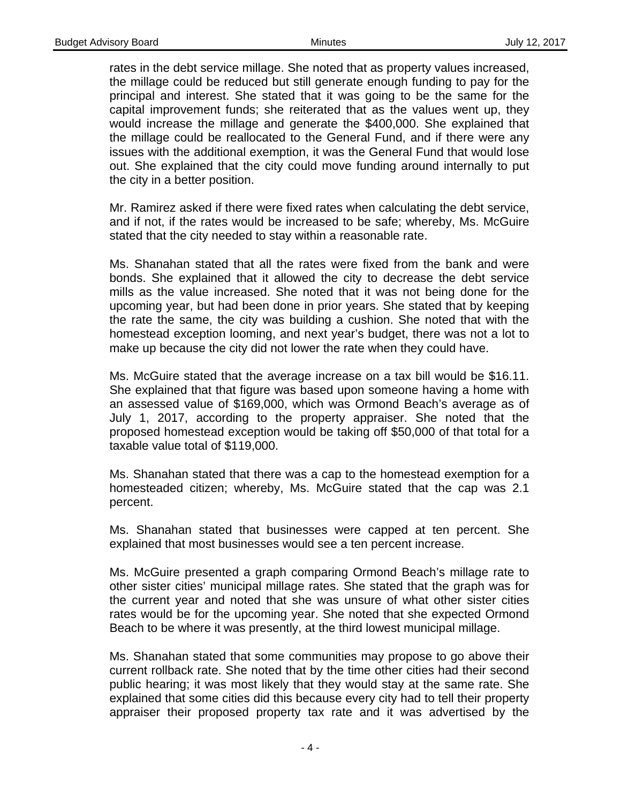rates in the debt service millage. She noted that as property values increased, the millage could be reduced but still generate enough funding to pay for the principal and interest. She stated that it was going to be the same for the capital improvement funds; she reiterated that as the values went up, they would increase the millage and generate the \$400,000. She explained that the millage could be reallocated to the General Fund, and if there were any issues with the additional exemption, it was the General Fund that would lose out. She explained that the city could move funding around internally to put the city in a better position.

Mr. Ramirez asked if there were fixed rates when calculating the debt service, and if not, if the rates would be increased to be safe; whereby, Ms. McGuire stated that the city needed to stay within a reasonable rate.

Ms. Shanahan stated that all the rates were fixed from the bank and were bonds. She explained that it allowed the city to decrease the debt service mills as the value increased. She noted that it was not being done for the upcoming year, but had been done in prior years. She stated that by keeping the rate the same, the city was building a cushion. She noted that with the homestead exception looming, and next year's budget, there was not a lot to make up because the city did not lower the rate when they could have.

Ms. McGuire stated that the average increase on a tax bill would be \$16.11. She explained that that figure was based upon someone having a home with an assessed value of \$169,000, which was Ormond Beach's average as of July 1, 2017, according to the property appraiser. She noted that the proposed homestead exception would be taking off \$50,000 of that total for a taxable value total of \$119,000.

Ms. Shanahan stated that there was a cap to the homestead exemption for a homesteaded citizen; whereby, Ms. McGuire stated that the cap was 2.1 percent.

Ms. Shanahan stated that businesses were capped at ten percent. She explained that most businesses would see a ten percent increase.

Ms. McGuire presented a graph comparing Ormond Beach's millage rate to other sister cities' municipal millage rates. She stated that the graph was for the current year and noted that she was unsure of what other sister cities rates would be for the upcoming year. She noted that she expected Ormond Beach to be where it was presently, at the third lowest municipal millage.

Ms. Shanahan stated that some communities may propose to go above their current rollback rate. She noted that by the time other cities had their second public hearing; it was most likely that they would stay at the same rate. She explained that some cities did this because every city had to tell their property appraiser their proposed property tax rate and it was advertised by the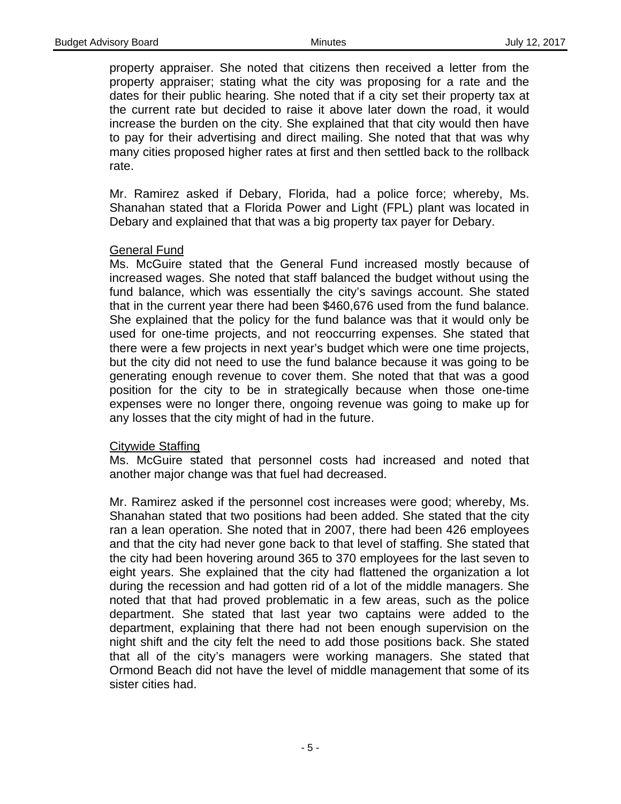property appraiser. She noted that citizens then received a letter from the property appraiser; stating what the city was proposing for a rate and the dates for their public hearing. She noted that if a city set their property tax at the current rate but decided to raise it above later down the road, it would increase the burden on the city. She explained that that city would then have to pay for their advertising and direct mailing. She noted that that was why many cities proposed higher rates at first and then settled back to the rollback rate.

Mr. Ramirez asked if Debary, Florida, had a police force; whereby, Ms. Shanahan stated that a Florida Power and Light (FPL) plant was located in Debary and explained that that was a big property tax payer for Debary.

## General Fund

Ms. McGuire stated that the General Fund increased mostly because of increased wages. She noted that staff balanced the budget without using the fund balance, which was essentially the city's savings account. She stated that in the current year there had been \$460,676 used from the fund balance. She explained that the policy for the fund balance was that it would only be used for one-time projects, and not reoccurring expenses. She stated that there were a few projects in next year's budget which were one time projects, but the city did not need to use the fund balance because it was going to be generating enough revenue to cover them. She noted that that was a good position for the city to be in strategically because when those one-time expenses were no longer there, ongoing revenue was going to make up for any losses that the city might of had in the future.

#### Citywide Staffing

Ms. McGuire stated that personnel costs had increased and noted that another major change was that fuel had decreased.

Mr. Ramirez asked if the personnel cost increases were good; whereby, Ms. Shanahan stated that two positions had been added. She stated that the city ran a lean operation. She noted that in 2007, there had been 426 employees and that the city had never gone back to that level of staffing. She stated that the city had been hovering around 365 to 370 employees for the last seven to eight years. She explained that the city had flattened the organization a lot during the recession and had gotten rid of a lot of the middle managers. She noted that that had proved problematic in a few areas, such as the police department. She stated that last year two captains were added to the department, explaining that there had not been enough supervision on the night shift and the city felt the need to add those positions back. She stated that all of the city's managers were working managers. She stated that Ormond Beach did not have the level of middle management that some of its sister cities had.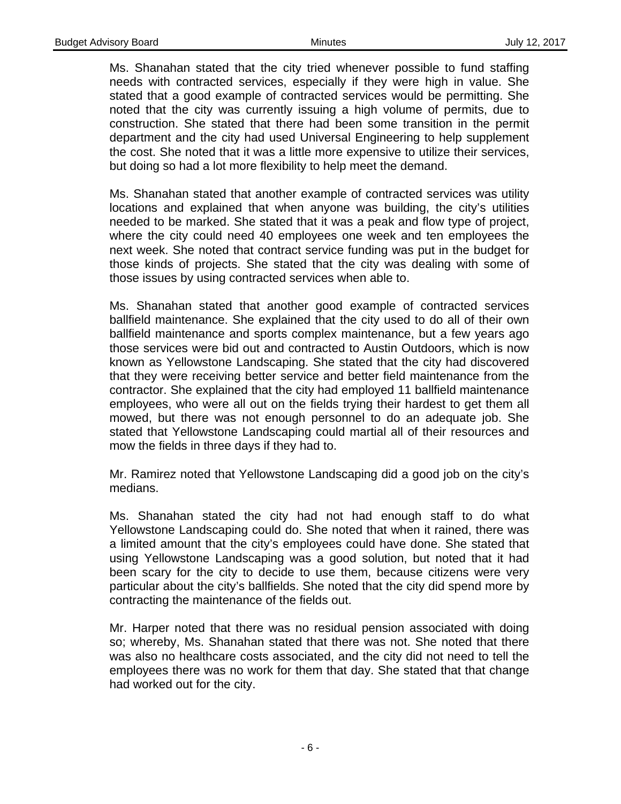Ms. Shanahan stated that the city tried whenever possible to fund staffing needs with contracted services, especially if they were high in value. She stated that a good example of contracted services would be permitting. She noted that the city was currently issuing a high volume of permits, due to construction. She stated that there had been some transition in the permit department and the city had used Universal Engineering to help supplement the cost. She noted that it was a little more expensive to utilize their services, but doing so had a lot more flexibility to help meet the demand.

Ms. Shanahan stated that another example of contracted services was utility locations and explained that when anyone was building, the city's utilities needed to be marked. She stated that it was a peak and flow type of project, where the city could need 40 employees one week and ten employees the next week. She noted that contract service funding was put in the budget for those kinds of projects. She stated that the city was dealing with some of those issues by using contracted services when able to.

Ms. Shanahan stated that another good example of contracted services ballfield maintenance. She explained that the city used to do all of their own ballfield maintenance and sports complex maintenance, but a few years ago those services were bid out and contracted to Austin Outdoors, which is now known as Yellowstone Landscaping. She stated that the city had discovered that they were receiving better service and better field maintenance from the contractor. She explained that the city had employed 11 ballfield maintenance employees, who were all out on the fields trying their hardest to get them all mowed, but there was not enough personnel to do an adequate job. She stated that Yellowstone Landscaping could martial all of their resources and mow the fields in three days if they had to.

Mr. Ramirez noted that Yellowstone Landscaping did a good job on the city's medians.

Ms. Shanahan stated the city had not had enough staff to do what Yellowstone Landscaping could do. She noted that when it rained, there was a limited amount that the city's employees could have done. She stated that using Yellowstone Landscaping was a good solution, but noted that it had been scary for the city to decide to use them, because citizens were very particular about the city's ballfields. She noted that the city did spend more by contracting the maintenance of the fields out.

Mr. Harper noted that there was no residual pension associated with doing so; whereby, Ms. Shanahan stated that there was not. She noted that there was also no healthcare costs associated, and the city did not need to tell the employees there was no work for them that day. She stated that that change had worked out for the city.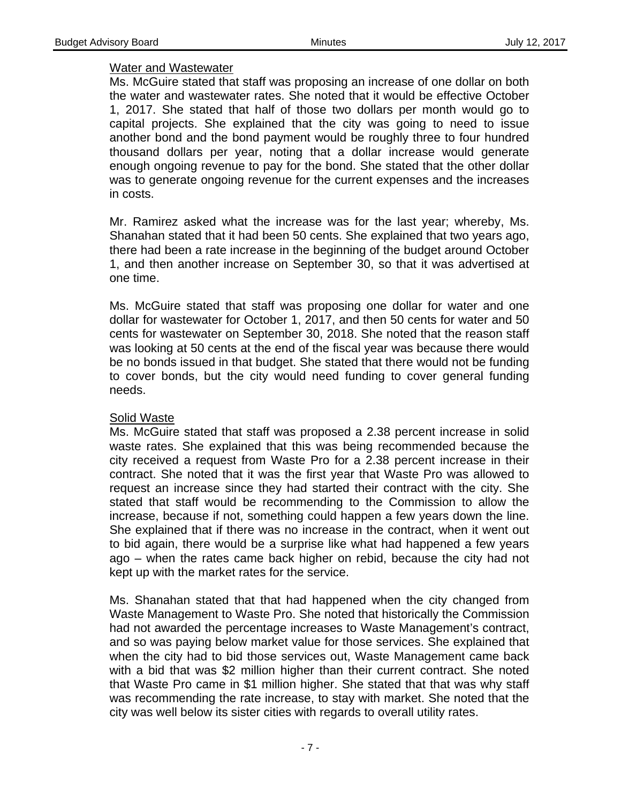## Water and Wastewater

Ms. McGuire stated that staff was proposing an increase of one dollar on both the water and wastewater rates. She noted that it would be effective October 1, 2017. She stated that half of those two dollars per month would go to capital projects. She explained that the city was going to need to issue another bond and the bond payment would be roughly three to four hundred thousand dollars per year, noting that a dollar increase would generate enough ongoing revenue to pay for the bond. She stated that the other dollar was to generate ongoing revenue for the current expenses and the increases in costs.

Mr. Ramirez asked what the increase was for the last year; whereby, Ms. Shanahan stated that it had been 50 cents. She explained that two years ago, there had been a rate increase in the beginning of the budget around October 1, and then another increase on September 30, so that it was advertised at one time.

Ms. McGuire stated that staff was proposing one dollar for water and one dollar for wastewater for October 1, 2017, and then 50 cents for water and 50 cents for wastewater on September 30, 2018. She noted that the reason staff was looking at 50 cents at the end of the fiscal year was because there would be no bonds issued in that budget. She stated that there would not be funding to cover bonds, but the city would need funding to cover general funding needs.

## Solid Waste

Ms. McGuire stated that staff was proposed a 2.38 percent increase in solid waste rates. She explained that this was being recommended because the city received a request from Waste Pro for a 2.38 percent increase in their contract. She noted that it was the first year that Waste Pro was allowed to request an increase since they had started their contract with the city. She stated that staff would be recommending to the Commission to allow the increase, because if not, something could happen a few years down the line. She explained that if there was no increase in the contract, when it went out to bid again, there would be a surprise like what had happened a few years ago – when the rates came back higher on rebid, because the city had not kept up with the market rates for the service.

Ms. Shanahan stated that that had happened when the city changed from Waste Management to Waste Pro. She noted that historically the Commission had not awarded the percentage increases to Waste Management's contract, and so was paying below market value for those services. She explained that when the city had to bid those services out, Waste Management came back with a bid that was \$2 million higher than their current contract. She noted that Waste Pro came in \$1 million higher. She stated that that was why staff was recommending the rate increase, to stay with market. She noted that the city was well below its sister cities with regards to overall utility rates.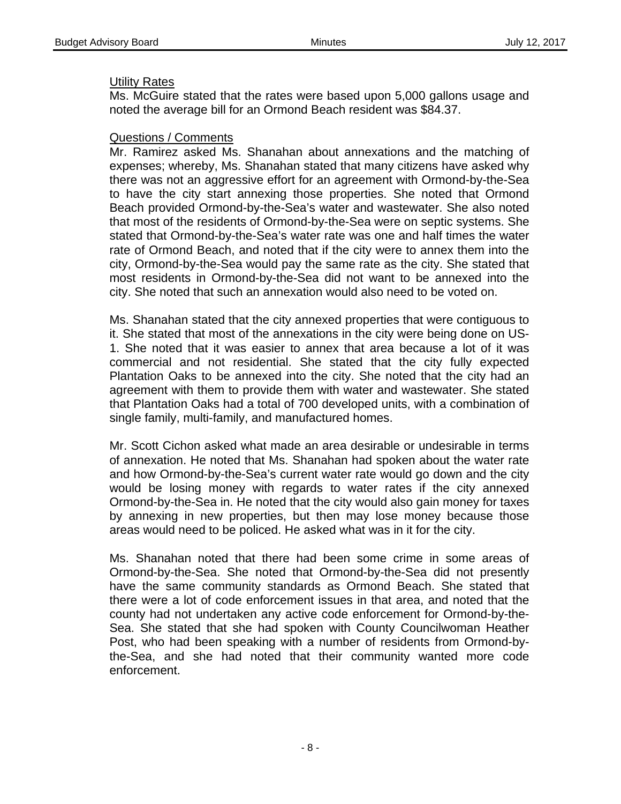#### Utility Rates

Ms. McGuire stated that the rates were based upon 5,000 gallons usage and noted the average bill for an Ormond Beach resident was \$84.37.

#### Questions / Comments

Mr. Ramirez asked Ms. Shanahan about annexations and the matching of expenses; whereby, Ms. Shanahan stated that many citizens have asked why there was not an aggressive effort for an agreement with Ormond-by-the-Sea to have the city start annexing those properties. She noted that Ormond Beach provided Ormond-by-the-Sea's water and wastewater. She also noted that most of the residents of Ormond-by-the-Sea were on septic systems. She stated that Ormond-by-the-Sea's water rate was one and half times the water rate of Ormond Beach, and noted that if the city were to annex them into the city, Ormond-by-the-Sea would pay the same rate as the city. She stated that most residents in Ormond-by-the-Sea did not want to be annexed into the city. She noted that such an annexation would also need to be voted on.

Ms. Shanahan stated that the city annexed properties that were contiguous to it. She stated that most of the annexations in the city were being done on US-1. She noted that it was easier to annex that area because a lot of it was commercial and not residential. She stated that the city fully expected Plantation Oaks to be annexed into the city. She noted that the city had an agreement with them to provide them with water and wastewater. She stated that Plantation Oaks had a total of 700 developed units, with a combination of single family, multi-family, and manufactured homes.

Mr. Scott Cichon asked what made an area desirable or undesirable in terms of annexation. He noted that Ms. Shanahan had spoken about the water rate and how Ormond-by-the-Sea's current water rate would go down and the city would be losing money with regards to water rates if the city annexed Ormond-by-the-Sea in. He noted that the city would also gain money for taxes by annexing in new properties, but then may lose money because those areas would need to be policed. He asked what was in it for the city.

Ms. Shanahan noted that there had been some crime in some areas of Ormond-by-the-Sea. She noted that Ormond-by-the-Sea did not presently have the same community standards as Ormond Beach. She stated that there were a lot of code enforcement issues in that area, and noted that the county had not undertaken any active code enforcement for Ormond-by-the-Sea. She stated that she had spoken with County Councilwoman Heather Post, who had been speaking with a number of residents from Ormond-bythe-Sea, and she had noted that their community wanted more code enforcement.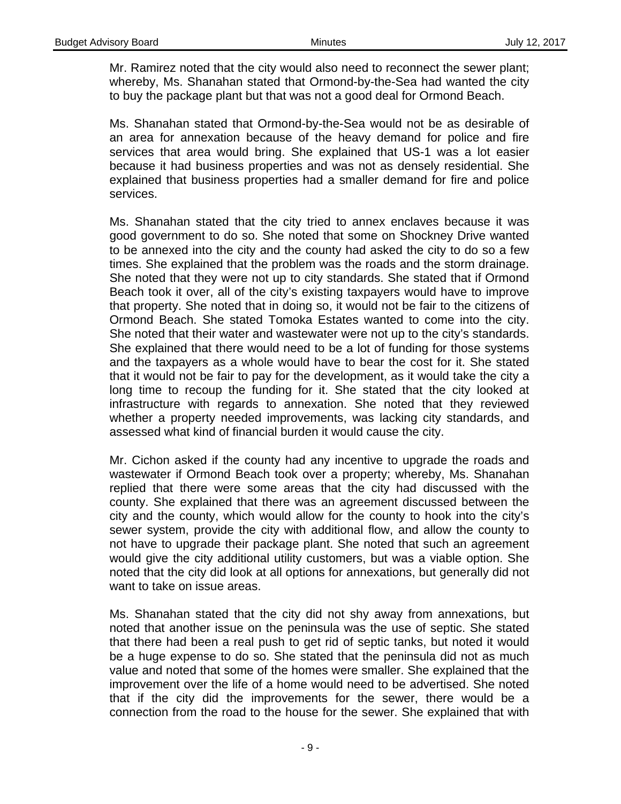Mr. Ramirez noted that the city would also need to reconnect the sewer plant; whereby, Ms. Shanahan stated that Ormond-by-the-Sea had wanted the city to buy the package plant but that was not a good deal for Ormond Beach.

Ms. Shanahan stated that Ormond-by-the-Sea would not be as desirable of an area for annexation because of the heavy demand for police and fire services that area would bring. She explained that US-1 was a lot easier because it had business properties and was not as densely residential. She explained that business properties had a smaller demand for fire and police services.

Ms. Shanahan stated that the city tried to annex enclaves because it was good government to do so. She noted that some on Shockney Drive wanted to be annexed into the city and the county had asked the city to do so a few times. She explained that the problem was the roads and the storm drainage. She noted that they were not up to city standards. She stated that if Ormond Beach took it over, all of the city's existing taxpayers would have to improve that property. She noted that in doing so, it would not be fair to the citizens of Ormond Beach. She stated Tomoka Estates wanted to come into the city. She noted that their water and wastewater were not up to the city's standards. She explained that there would need to be a lot of funding for those systems and the taxpayers as a whole would have to bear the cost for it. She stated that it would not be fair to pay for the development, as it would take the city a long time to recoup the funding for it. She stated that the city looked at infrastructure with regards to annexation. She noted that they reviewed whether a property needed improvements, was lacking city standards, and assessed what kind of financial burden it would cause the city.

Mr. Cichon asked if the county had any incentive to upgrade the roads and wastewater if Ormond Beach took over a property; whereby, Ms. Shanahan replied that there were some areas that the city had discussed with the county. She explained that there was an agreement discussed between the city and the county, which would allow for the county to hook into the city's sewer system, provide the city with additional flow, and allow the county to not have to upgrade their package plant. She noted that such an agreement would give the city additional utility customers, but was a viable option. She noted that the city did look at all options for annexations, but generally did not want to take on issue areas.

Ms. Shanahan stated that the city did not shy away from annexations, but noted that another issue on the peninsula was the use of septic. She stated that there had been a real push to get rid of septic tanks, but noted it would be a huge expense to do so. She stated that the peninsula did not as much value and noted that some of the homes were smaller. She explained that the improvement over the life of a home would need to be advertised. She noted that if the city did the improvements for the sewer, there would be a connection from the road to the house for the sewer. She explained that with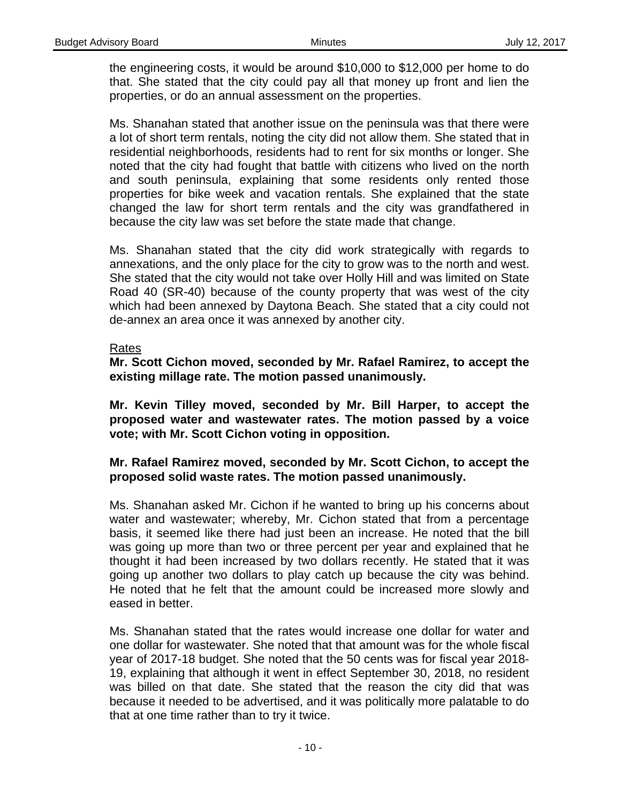the engineering costs, it would be around \$10,000 to \$12,000 per home to do that. She stated that the city could pay all that money up front and lien the properties, or do an annual assessment on the properties.

Ms. Shanahan stated that another issue on the peninsula was that there were a lot of short term rentals, noting the city did not allow them. She stated that in residential neighborhoods, residents had to rent for six months or longer. She noted that the city had fought that battle with citizens who lived on the north and south peninsula, explaining that some residents only rented those properties for bike week and vacation rentals. She explained that the state changed the law for short term rentals and the city was grandfathered in because the city law was set before the state made that change.

Ms. Shanahan stated that the city did work strategically with regards to annexations, and the only place for the city to grow was to the north and west. She stated that the city would not take over Holly Hill and was limited on State Road 40 (SR-40) because of the county property that was west of the city which had been annexed by Daytona Beach. She stated that a city could not de-annex an area once it was annexed by another city.

#### Rates

**Mr. Scott Cichon moved, seconded by Mr. Rafael Ramirez, to accept the existing millage rate. The motion passed unanimously.** 

**Mr. Kevin Tilley moved, seconded by Mr. Bill Harper, to accept the proposed water and wastewater rates. The motion passed by a voice vote; with Mr. Scott Cichon voting in opposition.** 

## **Mr. Rafael Ramirez moved, seconded by Mr. Scott Cichon, to accept the proposed solid waste rates. The motion passed unanimously.**

Ms. Shanahan asked Mr. Cichon if he wanted to bring up his concerns about water and wastewater; whereby, Mr. Cichon stated that from a percentage basis, it seemed like there had just been an increase. He noted that the bill was going up more than two or three percent per year and explained that he thought it had been increased by two dollars recently. He stated that it was going up another two dollars to play catch up because the city was behind. He noted that he felt that the amount could be increased more slowly and eased in better.

Ms. Shanahan stated that the rates would increase one dollar for water and one dollar for wastewater. She noted that that amount was for the whole fiscal year of 2017-18 budget. She noted that the 50 cents was for fiscal year 2018- 19, explaining that although it went in effect September 30, 2018, no resident was billed on that date. She stated that the reason the city did that was because it needed to be advertised, and it was politically more palatable to do that at one time rather than to try it twice.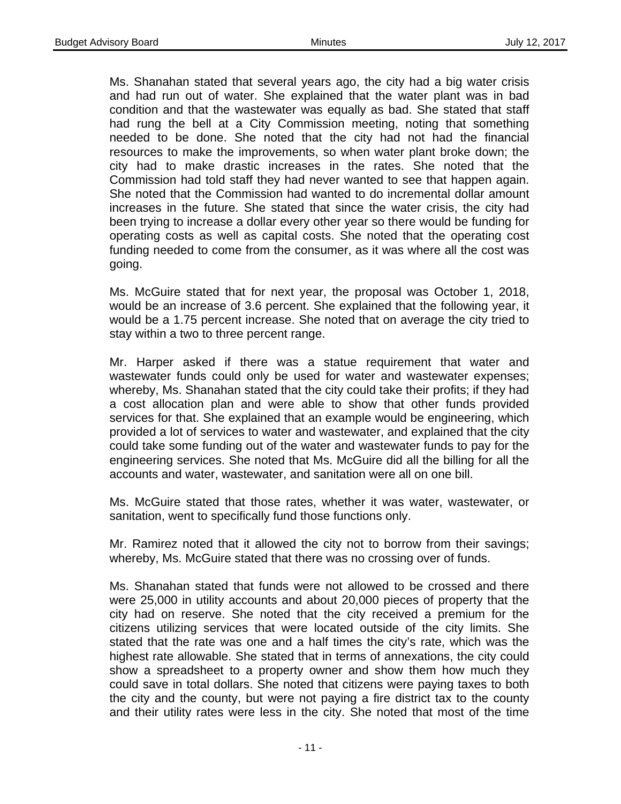Ms. Shanahan stated that several years ago, the city had a big water crisis and had run out of water. She explained that the water plant was in bad condition and that the wastewater was equally as bad. She stated that staff had rung the bell at a City Commission meeting, noting that something needed to be done. She noted that the city had not had the financial resources to make the improvements, so when water plant broke down; the city had to make drastic increases in the rates. She noted that the Commission had told staff they had never wanted to see that happen again. She noted that the Commission had wanted to do incremental dollar amount increases in the future. She stated that since the water crisis, the city had been trying to increase a dollar every other year so there would be funding for operating costs as well as capital costs. She noted that the operating cost funding needed to come from the consumer, as it was where all the cost was going.

Ms. McGuire stated that for next year, the proposal was October 1, 2018, would be an increase of 3.6 percent. She explained that the following year, it would be a 1.75 percent increase. She noted that on average the city tried to stay within a two to three percent range.

Mr. Harper asked if there was a statue requirement that water and wastewater funds could only be used for water and wastewater expenses; whereby, Ms. Shanahan stated that the city could take their profits; if they had a cost allocation plan and were able to show that other funds provided services for that. She explained that an example would be engineering, which provided a lot of services to water and wastewater, and explained that the city could take some funding out of the water and wastewater funds to pay for the engineering services. She noted that Ms. McGuire did all the billing for all the accounts and water, wastewater, and sanitation were all on one bill.

Ms. McGuire stated that those rates, whether it was water, wastewater, or sanitation, went to specifically fund those functions only.

Mr. Ramirez noted that it allowed the city not to borrow from their savings; whereby, Ms. McGuire stated that there was no crossing over of funds.

Ms. Shanahan stated that funds were not allowed to be crossed and there were 25,000 in utility accounts and about 20,000 pieces of property that the city had on reserve. She noted that the city received a premium for the citizens utilizing services that were located outside of the city limits. She stated that the rate was one and a half times the city's rate, which was the highest rate allowable. She stated that in terms of annexations, the city could show a spreadsheet to a property owner and show them how much they could save in total dollars. She noted that citizens were paying taxes to both the city and the county, but were not paying a fire district tax to the county and their utility rates were less in the city. She noted that most of the time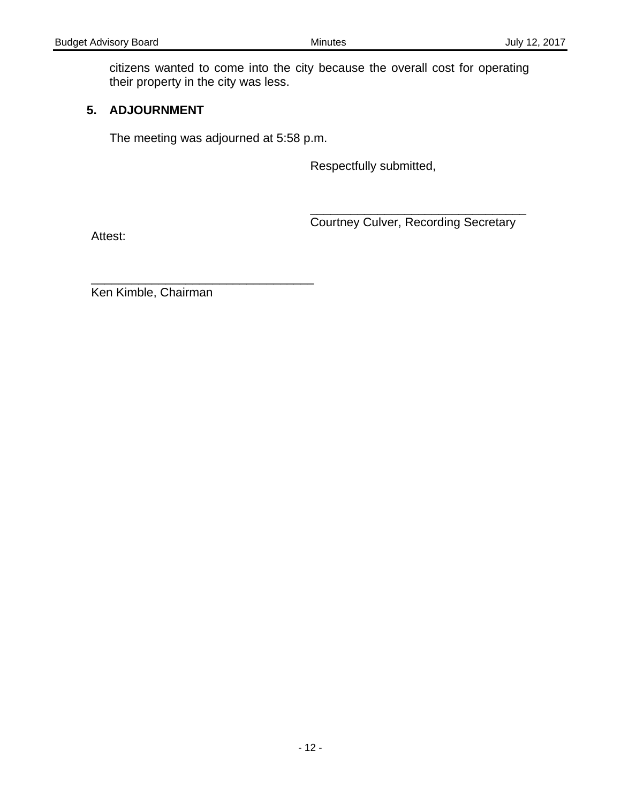citizens wanted to come into the city because the overall cost for operating their property in the city was less.

# **5. ADJOURNMENT**

The meeting was adjourned at 5:58 p.m.

Respectfully submitted,

\_\_\_\_\_\_\_\_\_\_\_\_\_\_\_\_\_\_\_\_\_\_\_\_\_\_\_\_\_\_\_\_ **Courtney Culver, Recording Secretary** 

Attest:

\_\_\_\_\_\_\_\_\_\_\_\_\_\_\_\_\_\_\_\_\_\_\_\_\_\_\_\_\_\_\_\_\_ Ken Kimble, Chairman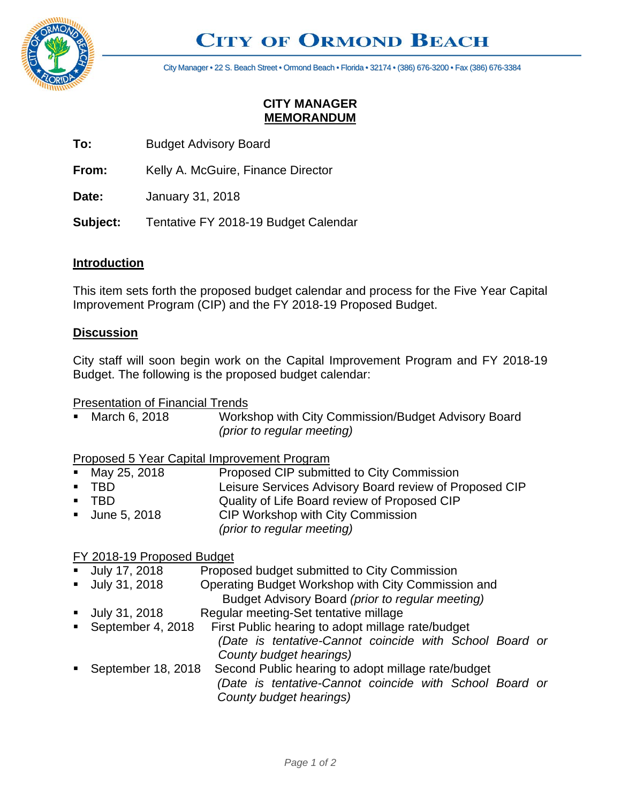

# **CITY OF ORMOND BEACH**

City Manager • 22 S. Beach Street • Ormond Beach • Florida • 32174 • (386) 676-3200 • Fax (386) 676-3384

# **CITY MANAGER MEMORANDUM**

**To:** Budget Advisory Board

**From:** Kelly A. McGuire, Finance Director

**Date:** January 31, 2018

**Subject:** Tentative FY 2018-19 Budget Calendar

#### **Introduction**

This item sets forth the proposed budget calendar and process for the Five Year Capital Improvement Program (CIP) and the FY 2018-19 Proposed Budget.

#### **Discussion**

City staff will soon begin work on the Capital Improvement Program and FY 2018-19 Budget. The following is the proposed budget calendar:

#### Presentation of Financial Trends

■ March 6, 2018 Workshop with City Commission/Budget Advisory Board *(prior to regular meeting)*

Proposed 5 Year Capital Improvement Program

- May 25, 2018 Proposed CIP submitted to City Commission
- TBD Leisure Services Advisory Board review of Proposed CIP
- TBD Quality of Life Board review of Proposed CIP
- June 5, 2018 CIP Workshop with City Commission
	- *(prior to regular meeting)*

#### FY 2018-19 Proposed Budget

- July 17, 2018 Proposed budget submitted to City Commission
- July 31, 2018 Operating Budget Workshop with City Commission and
- Budget Advisory Board *(prior to regular meeting)*
- July 31, 2018 Regular meeting-Set tentative millage
- September 4, 2018 First Public hearing to adopt millage rate/budget *(Date is tentative-Cannot coincide with School Board or County budget hearings)*
- September 18, 2018 Second Public hearing to adopt millage rate/budget *(Date is tentative-Cannot coincide with School Board or County budget hearings)*